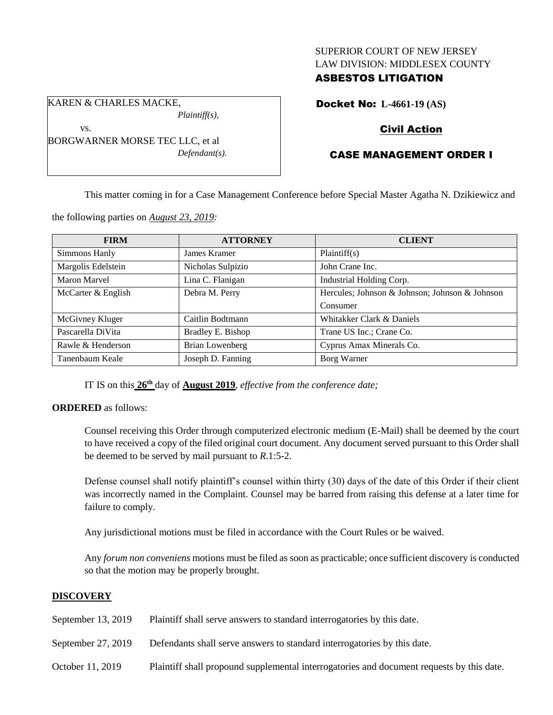## SUPERIOR COURT OF NEW JERSEY LAW DIVISION: MIDDLESEX COUNTY

## ASBESTOS LITIGATION

KAREN & CHARLES MACKE,

vs.

*Plaintiff(s),*

BORGWARNER MORSE TEC LLC, et al *Defendant(s).* Docket No: **L-4661-19 (AS)**

# Civil Action

# CASE MANAGEMENT ORDER I

This matter coming in for a Case Management Conference before Special Master Agatha N. Dzikiewicz and

the following parties on *August 23, 2019:*

| <b>FIRM</b>        | <b>ATTORNEY</b>        | <b>CLIENT</b>                                  |
|--------------------|------------------------|------------------------------------------------|
| Simmons Hanly      | James Kramer           | Plaintiff(s)                                   |
| Margolis Edelstein | Nicholas Sulpizio      | John Crane Inc.                                |
| Maron Marvel       | Lina C. Flanigan       | Industrial Holding Corp.                       |
| McCarter & English | Debra M. Perry         | Hercules; Johnson & Johnson; Johnson & Johnson |
|                    |                        | Consumer                                       |
| McGivney Kluger    | Caitlin Bodtmann       | Whitakker Clark & Daniels                      |
| Pascarella DiVita  | Bradley E. Bishop      | Trane US Inc.; Crane Co.                       |
| Rawle & Henderson  | <b>Brian Lowenberg</b> | Cyprus Amax Minerals Co.                       |
| Tanenbaum Keale    | Joseph D. Fanning      | Borg Warner                                    |

IT IS on this **26th** day of **August 2019**, *effective from the conference date;*

**ORDERED** as follows:

Counsel receiving this Order through computerized electronic medium (E-Mail) shall be deemed by the court to have received a copy of the filed original court document. Any document served pursuant to this Order shall be deemed to be served by mail pursuant to *R*.1:5-2.

Defense counsel shall notify plaintiff's counsel within thirty (30) days of the date of this Order if their client was incorrectly named in the Complaint. Counsel may be barred from raising this defense at a later time for failure to comply.

Any jurisdictional motions must be filed in accordance with the Court Rules or be waived.

Any *forum non conveniens* motions must be filed as soon as practicable; once sufficient discovery is conducted so that the motion may be properly brought.

# **DISCOVERY**

- September 13, 2019 Plaintiff shall serve answers to standard interrogatories by this date.
- September 27, 2019 Defendants shall serve answers to standard interrogatories by this date.
- October 11, 2019 Plaintiff shall propound supplemental interrogatories and document requests by this date.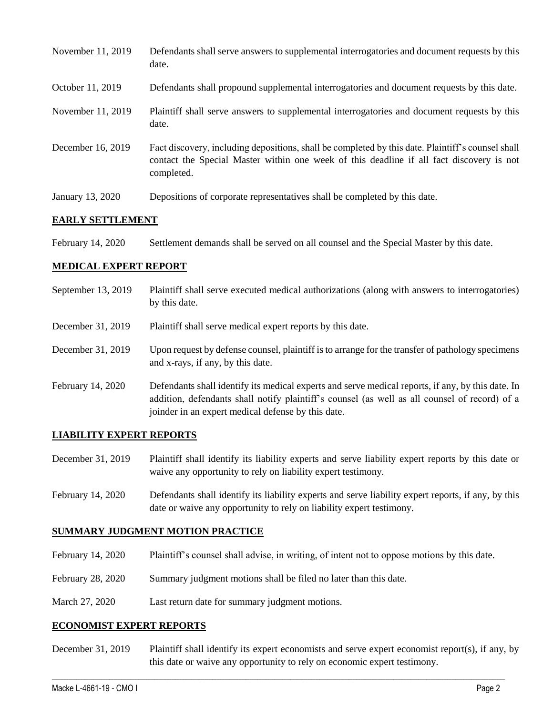| November 11, 2019 | Defendants shall serve answers to supplemental interrogatories and document requests by this<br>date.                                                                                                       |
|-------------------|-------------------------------------------------------------------------------------------------------------------------------------------------------------------------------------------------------------|
| October 11, 2019  | Defendants shall propound supplemental interrogatories and document requests by this date.                                                                                                                  |
| November 11, 2019 | Plaintiff shall serve answers to supplemental interrogatories and document requests by this<br>date.                                                                                                        |
| December 16, 2019 | Fact discovery, including depositions, shall be completed by this date. Plaintiff's counsel shall<br>contact the Special Master within one week of this deadline if all fact discovery is not<br>completed. |
| January 13, 2020  | Depositions of corporate representatives shall be completed by this date.                                                                                                                                   |

### **EARLY SETTLEMENT**

| February 14, 2020 | Settlement demands shall be served on all counsel and the Special Master by this date. |
|-------------------|----------------------------------------------------------------------------------------|
|-------------------|----------------------------------------------------------------------------------------|

### **MEDICAL EXPERT REPORT**

- September 13, 2019 Plaintiff shall serve executed medical authorizations (along with answers to interrogatories) by this date.
- December 31, 2019 Plaintiff shall serve medical expert reports by this date.
- December 31, 2019 Upon request by defense counsel, plaintiff is to arrange for the transfer of pathology specimens and x-rays, if any, by this date.
- February 14, 2020 Defendants shall identify its medical experts and serve medical reports, if any, by this date. In addition, defendants shall notify plaintiff's counsel (as well as all counsel of record) of a joinder in an expert medical defense by this date.

#### **LIABILITY EXPERT REPORTS**

- December 31, 2019 Plaintiff shall identify its liability experts and serve liability expert reports by this date or waive any opportunity to rely on liability expert testimony.
- February 14, 2020 Defendants shall identify its liability experts and serve liability expert reports, if any, by this date or waive any opportunity to rely on liability expert testimony.

#### **SUMMARY JUDGMENT MOTION PRACTICE**

- February 14, 2020 Plaintiff's counsel shall advise, in writing, of intent not to oppose motions by this date.
- February 28, 2020 Summary judgment motions shall be filed no later than this date.
- March 27, 2020 Last return date for summary judgment motions.

#### **ECONOMIST EXPERT REPORTS**

December 31, 2019 Plaintiff shall identify its expert economists and serve expert economist report(s), if any, by this date or waive any opportunity to rely on economic expert testimony.

 $\_$  , and the set of the set of the set of the set of the set of the set of the set of the set of the set of the set of the set of the set of the set of the set of the set of the set of the set of the set of the set of th